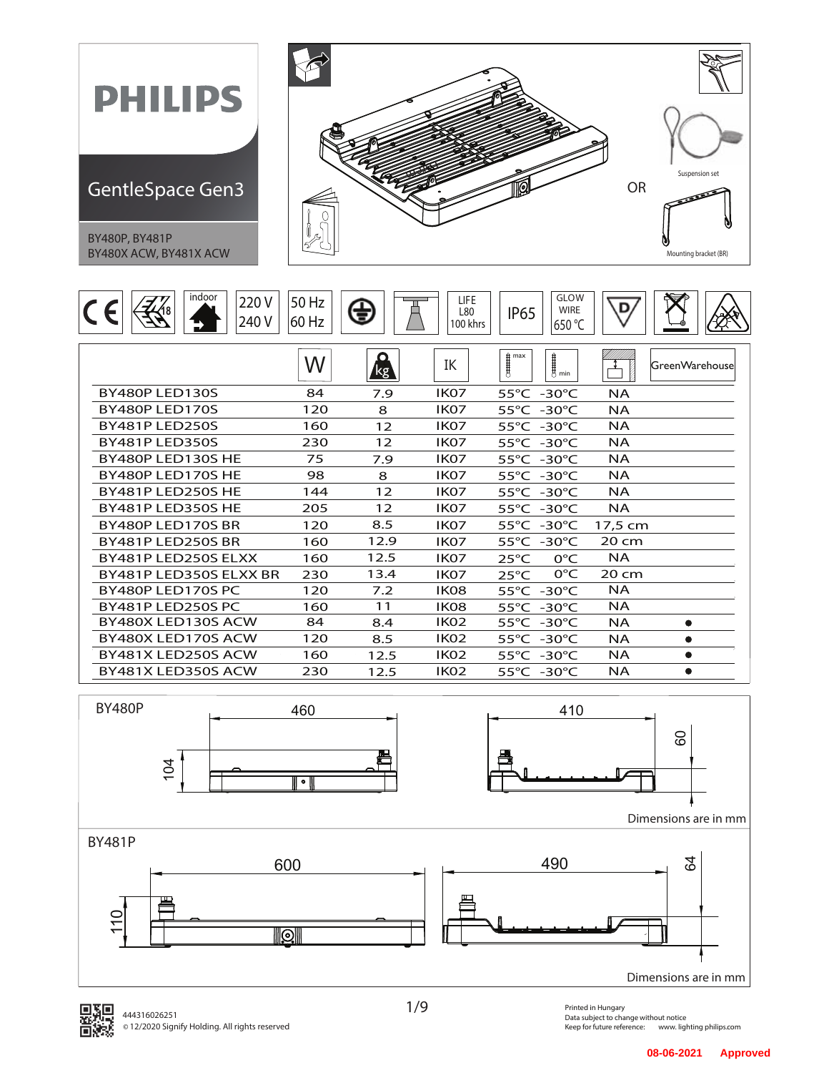



1/9

Printed in Hungary Data subject to change without notice<br>Keep for future reference: www.ligl www. lighting philips.com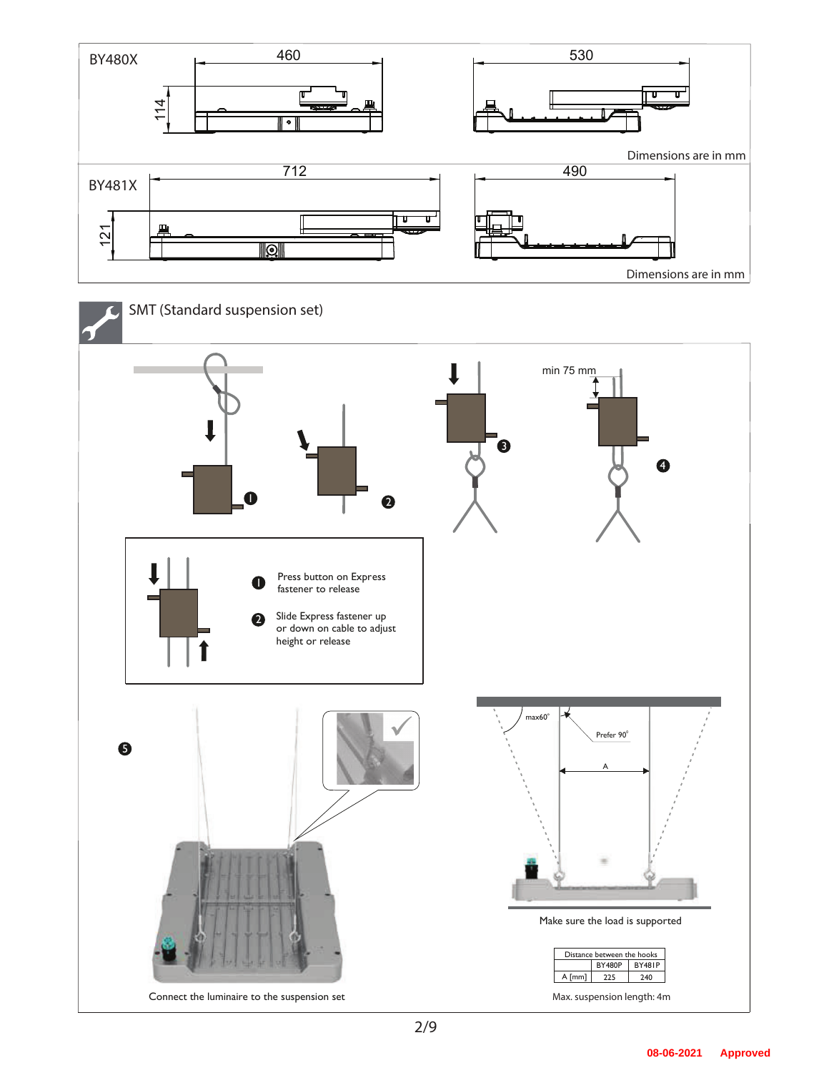

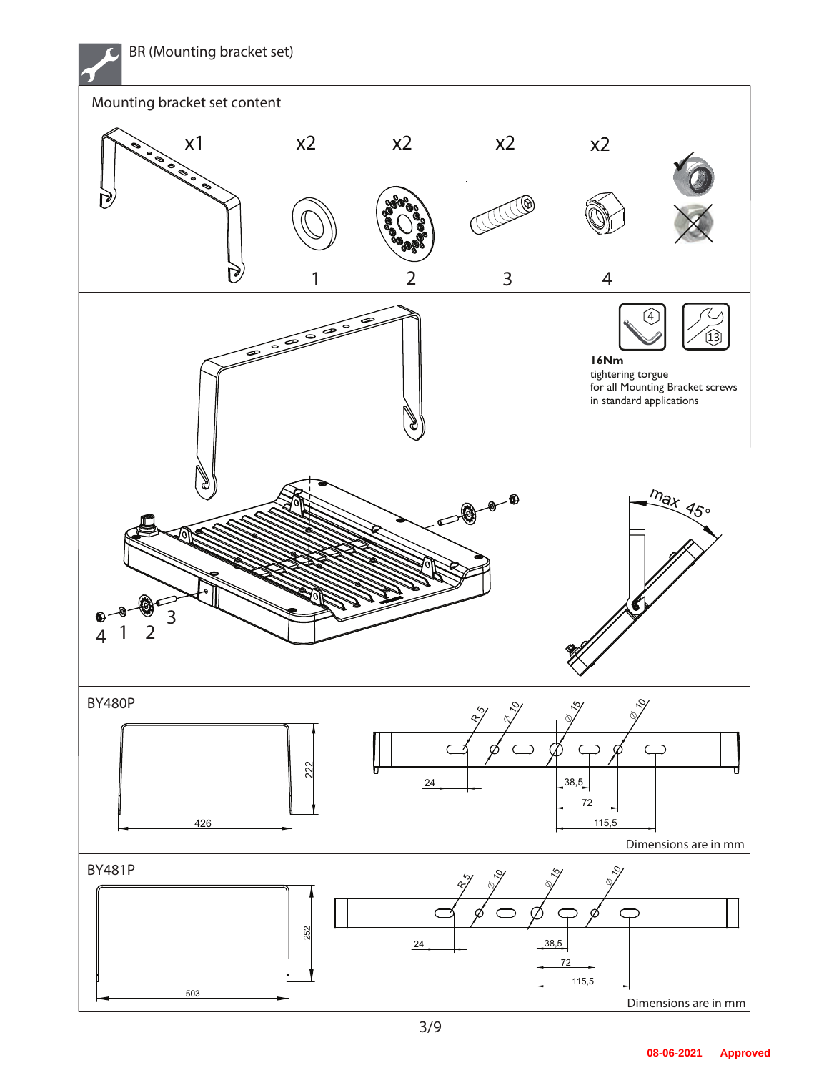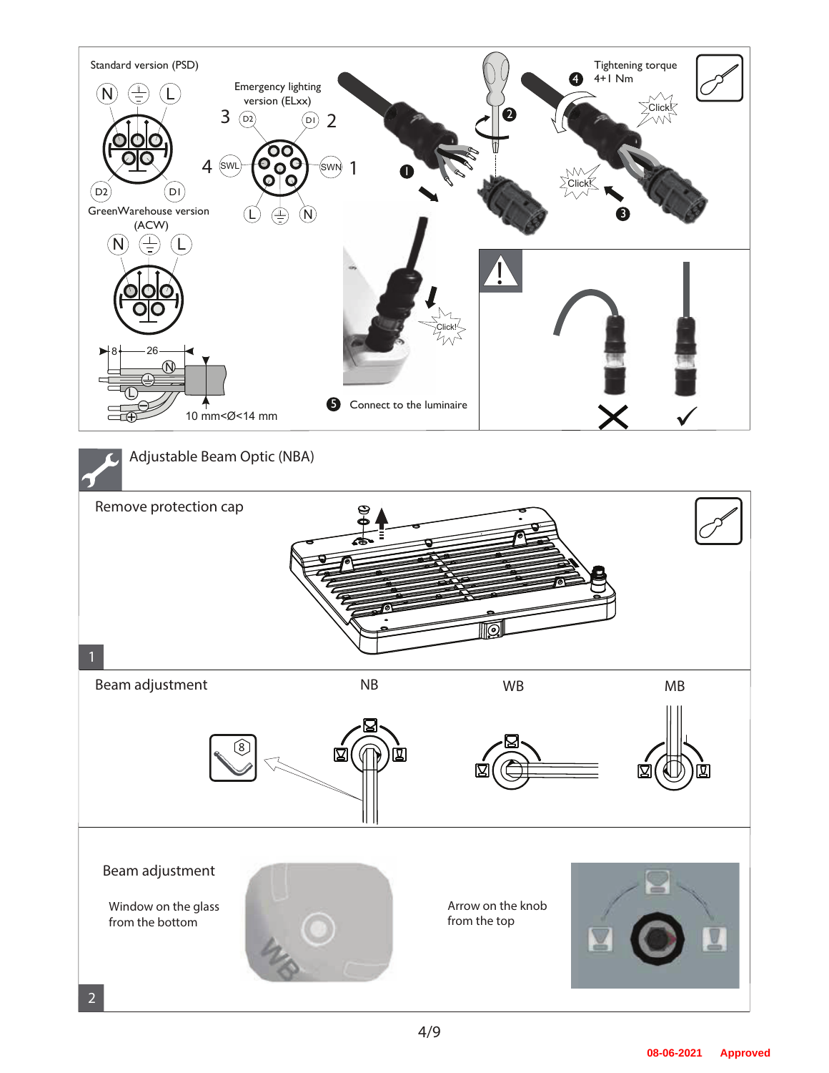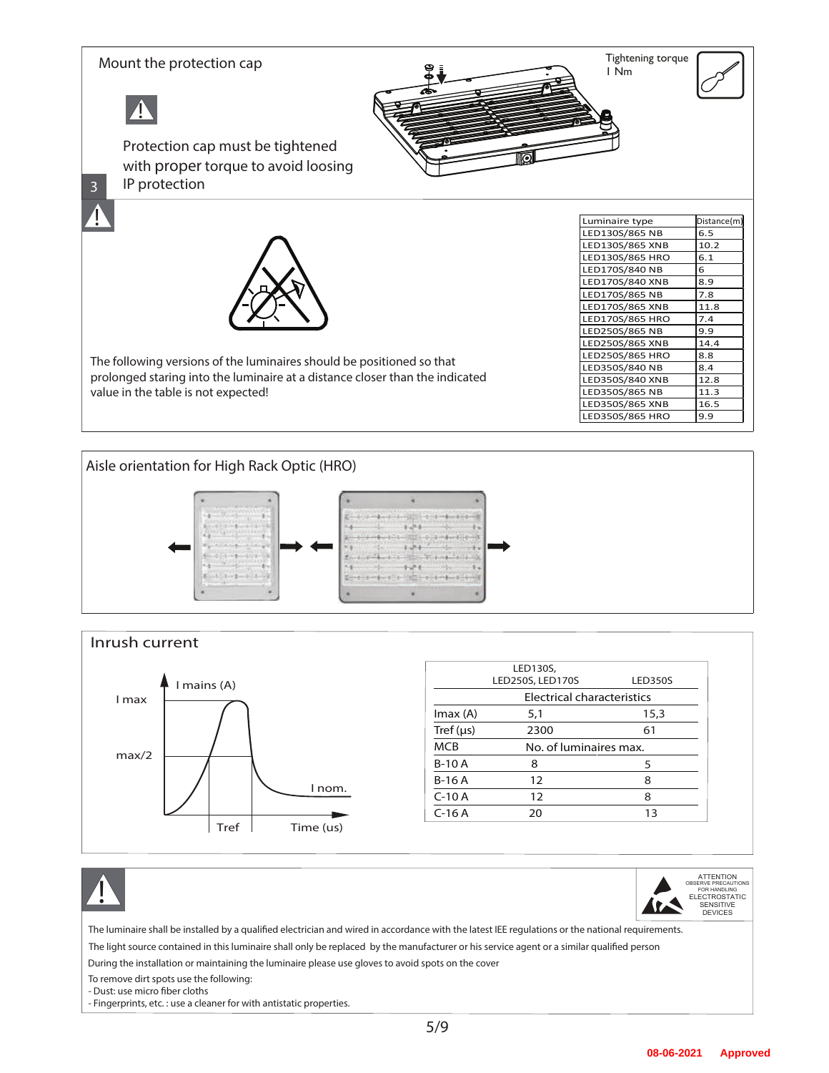





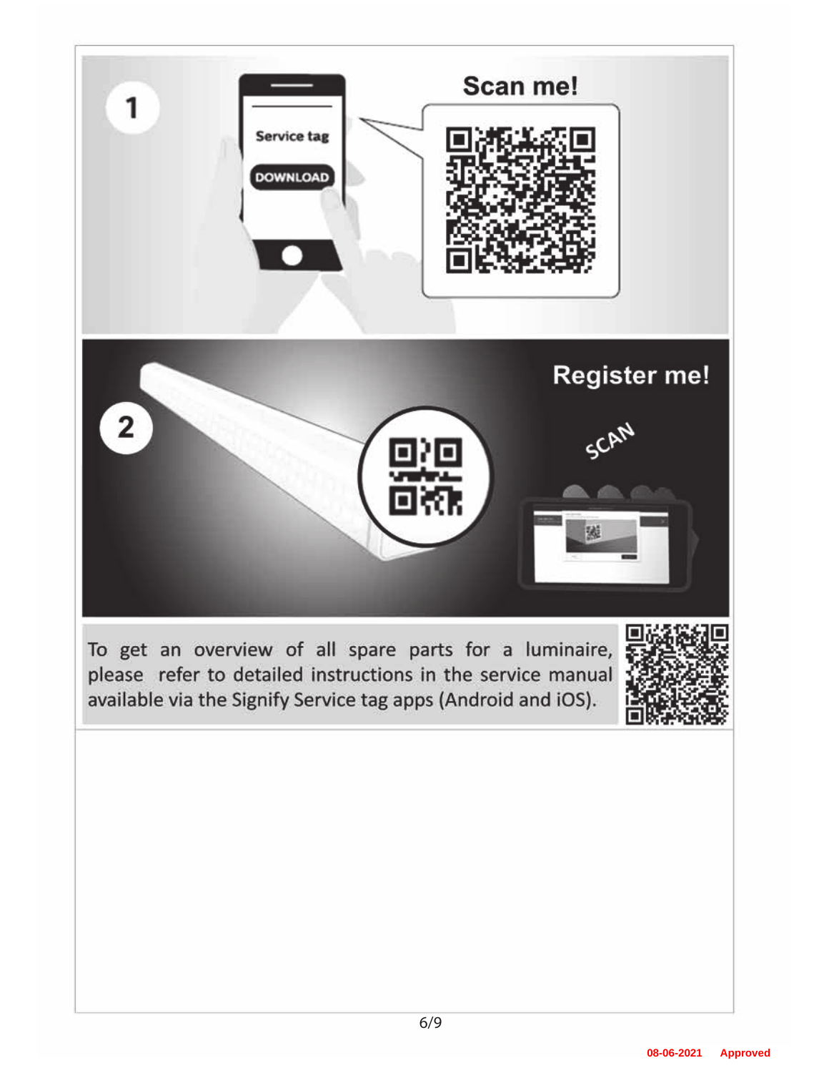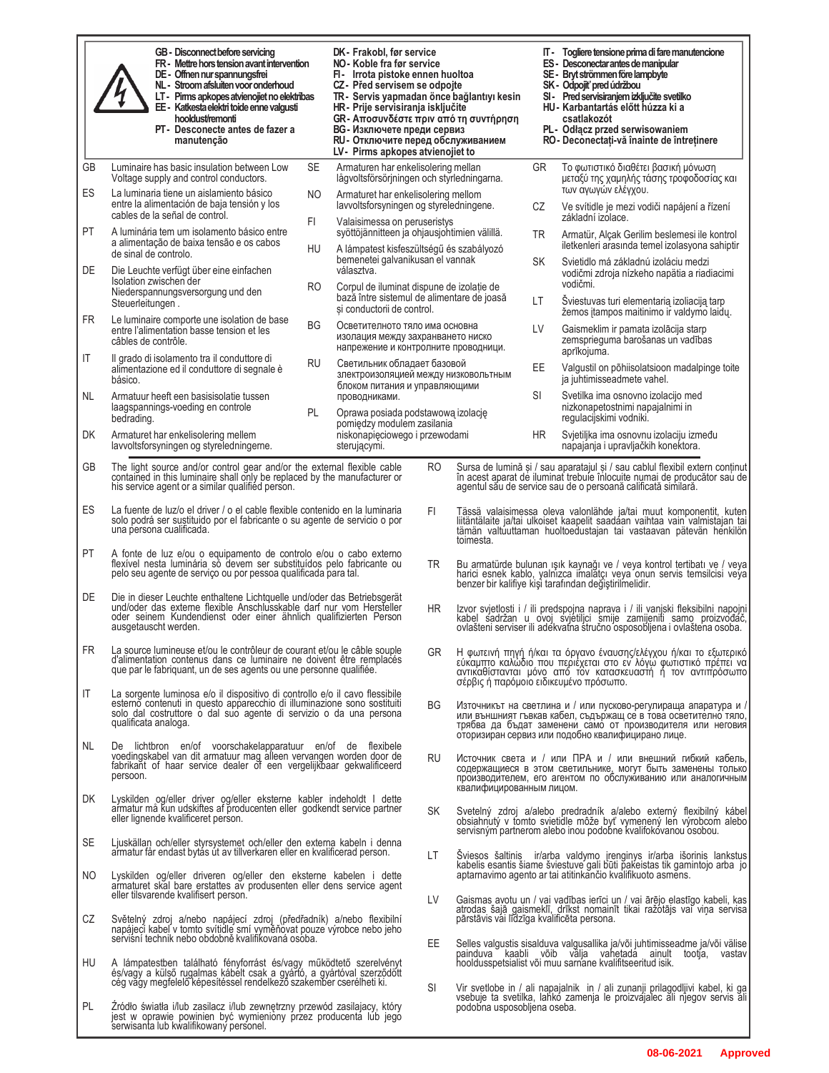|           | GB - Disconnect before servicing<br>FR - Mettre hors tension avant intervention<br>DE - Offnen nur spannungsfrei<br>NL - Stroom afsluiten voor onderhoud<br>LT- Pirms apkopes atvienojiet no elektrības<br>EE - Katkesta elektri toide enne valgusti<br>hooldust/remonti<br>PT- Desconecte antes de fazer a<br>manutenção |               | DK- Frakobl, før service<br>NO - Koble fra før service<br>FI- Irrota pistoke ennen huoltoa<br>CZ- Před servisem se odpojte<br>TR- Servis yapmadan önce bağlantıyı kesin<br>HR- Prije servisiranja isključite<br>GR- Αποσυνδέστε πριν από τη συντήρηση<br>BG - Изключете преди сервиз<br>RU - Отключите перед обслуживанием<br>LV- Pirms apkopes atvienojiet to |                                        |                             | IT - Togliere tensione prima di fare manutencione<br>ES - Desconectar antes de manipular<br>SE - Bryt strömmen före lampbyte<br>SK - Odpojiť pred údržbou<br>SI - Pred servisiranjem izključite svetilko<br>HU - Karbantartás előtt húzza ki a<br>csatlakozót<br>PL- Odłacz przed serwisowaniem<br>RO- Deconectați-vă înainte de întreținere |
|-----------|---------------------------------------------------------------------------------------------------------------------------------------------------------------------------------------------------------------------------------------------------------------------------------------------------------------------------|---------------|----------------------------------------------------------------------------------------------------------------------------------------------------------------------------------------------------------------------------------------------------------------------------------------------------------------------------------------------------------------|----------------------------------------|-----------------------------|----------------------------------------------------------------------------------------------------------------------------------------------------------------------------------------------------------------------------------------------------------------------------------------------------------------------------------------------|
| GB<br>ES  | SE<br>Luminaire has basic insulation between Low<br>Voltage supply and control conductors.<br>La luminaria tiene un aislamiento básico                                                                                                                                                                                    |               | Armaturen har enkelisolering mellan<br>lågvoltsförsörjningen och styrledningarna.                                                                                                                                                                                                                                                                              |                                        | GR                          | Το φωτιστικό διαθέτει βασική μόνωση<br>μεταξύ της χαμηλής τάσης τροφοδοσίας και<br>των αγωγών ελέγχου.                                                                                                                                                                                                                                       |
|           | NO<br>entre la alimentación de baja tensión y los<br>cables de la señal de control.<br>FI                                                                                                                                                                                                                                 |               | Armaturet har enkelisolering mellom<br>lavvoltsforsyningen og styreledningene.<br>Valaisimessa on peruseristys                                                                                                                                                                                                                                                 |                                        | CZ                          | Ve svítidle je mezi vodiči napájení a řízení<br>základní izolace.                                                                                                                                                                                                                                                                            |
| PT        | A luminária tem um isolamento básico entre<br>a alimentação de baixa tensão e os cabos<br>HU<br>de sinal de controlo.                                                                                                                                                                                                     |               | syöttöjännitteen ja ohjausjohtimien välillä.<br>A lámpatest kisfeszültségű és szabályozó<br>bemenetei galvanikusan el vannak<br>választva.<br>Corpul de iluminat dispune de izolație de<br>bază între sistemul de alimentare de joasă<br>și conductorii de control.                                                                                            |                                        | TR.                         | Armatür, Alçak Gerilim beslemesi ile kontrol<br>iletkenleri arasında temel izolasyona sahiptir                                                                                                                                                                                                                                               |
| DE        | Die Leuchte verfügt über eine einfachen<br>Isolation zwischen der<br>RO                                                                                                                                                                                                                                                   |               |                                                                                                                                                                                                                                                                                                                                                                |                                        | SK                          | Svietidlo má základnú izoláciu medzi<br>vodičmi zdroja nízkeho napätia a riadiacimi<br>vodičmi.                                                                                                                                                                                                                                              |
| <b>FR</b> | Niederspannungsversorgung und den<br>Steuerleitungen.<br>Le luminaire comporte une isolation de base                                                                                                                                                                                                                      |               |                                                                                                                                                                                                                                                                                                                                                                |                                        | LT                          | Sviestuvas turi elementarią izoliaciją tarp<br>žemos įtampos maitinimo ir valdymo laidų.                                                                                                                                                                                                                                                     |
|           | BG<br>entre l'alimentation basse tension et les<br>câbles de contrôle.                                                                                                                                                                                                                                                    |               | Осветителното тяло има основна<br>изолация между захранването ниско<br>напрежение и контролните проводници.                                                                                                                                                                                                                                                    |                                        | LV                          | Gaismeklim ir pamata izolācija starp<br>zemsprieguma barošanas un vadības<br>aprīkojuma.                                                                                                                                                                                                                                                     |
| IT        | Il grado di isolamento tra il conduttore di<br><b>RU</b><br>alimentazione ed il conduttore di segnale è<br>básico.                                                                                                                                                                                                        |               | Светильник обладает базовой<br>злектроизоляцией между низковольтным<br>блоком питания и управляющими                                                                                                                                                                                                                                                           |                                        | EE                          | Valgustil on põhiisolatsioon madalpinge toite<br>ja juhtimisseadmete vahel.                                                                                                                                                                                                                                                                  |
| NL.       | Armatuur heeft een basisisolatie tussen<br>laagspannings-voeding en controle<br>PL.<br>bedrading.                                                                                                                                                                                                                         | проводниками. | Oprawa posiada podstawową izolację<br>pomiedzy modulem zasilania<br>niskonapięciowego i przewodami<br>sterującymi.                                                                                                                                                                                                                                             |                                        | SI                          | Svetilka ima osnovno izolacijo med<br>nizkonapetostnimi napajalnimi in<br>regulacijskimi vodniki.                                                                                                                                                                                                                                            |
| DK        | Armaturet har enkelisolering mellem<br>lavvoltsforsyningen og styreledningerne.                                                                                                                                                                                                                                           |               |                                                                                                                                                                                                                                                                                                                                                                |                                        | ΗR                          | Svjetiljka ima osnovnu izolaciju između<br>napajanja i upravljačkih konektora.                                                                                                                                                                                                                                                               |
| GB        | The light source and/or control gear and/or the external flexible cable<br>contained in this luminaire shall only be replaced by the manufacturer or<br>his service agent or a similar qualified person.                                                                                                                  |               | <b>RO</b>                                                                                                                                                                                                                                                                                                                                                      |                                        |                             | Sursa de lumină și / sau aparatajul și / sau cablul flexibil extern conținut<br>în acest aparat de iluminat trebuie înlocuite numai de producător sau de<br>agentul său de service sau de o persoană calificată similară.                                                                                                                    |
| ES        | La fuente de luz/o el driver / o el cable flexible contenido en la luminaria<br>solo podrá ser sustituido por el fabricante o su agente de servicio o por<br>una persona cualificada.                                                                                                                                     |               | FI.                                                                                                                                                                                                                                                                                                                                                            | toimesta.                              |                             | Tässä valaisimessa oleva valonlähde ja/tai muut komponentit, kuten<br>liitäntälaite ja/tai ulkoiset kaapelit saadaan vaihtaa vain valmistajan tai<br>tämän valtuuttaman huoltoedustajan tai vastaavan pätevän henkilön                                                                                                                       |
| PT        | A fonte de luz e/ou o equipamento de controlo e/ou o cabo externo<br>flexível nesta luminária só devem ser substituídos pelo fabricante ou<br>pelo seu agente de servico ou por pessoa qualificada para tal.                                                                                                              |               | TR.                                                                                                                                                                                                                                                                                                                                                            |                                        |                             | Bu armatürde bulunan ışık kaynağı ve / veya kontrol tertibatı ve / veya<br>harici esnek kablo, yalnızca imalatçı veya onun servis temsilcisi veya<br>benzer bir kalifiye kişî tarafından değiştirilmelidir.                                                                                                                                  |
| DE        | Die in dieser Leuchte enthaltene Lichtquelle und/oder das Betriebsgerät<br>und/oder das externe flexible Anschlusskable darf nur vom Hersteller<br>oder seinem Kundendienst oder einer ähnlich qualifizierten Person<br>ausgetauscht werden.                                                                              |               | HR.                                                                                                                                                                                                                                                                                                                                                            |                                        |                             | Izvor svjetlosti i / ili predspojna naprava i / ili vanjski fleksibilni napojni<br>kabel sadržan u ovoj svjetiljci smije zamijeniti samo proizvodač,<br>ovlašteni serviser ili adekvatna stručno osposobljena i ovlaštena osoba.                                                                                                             |
|           | FR La source lumineuse et/ou le contrôleur de courant et/ou le câble souple<br>d'alimentation contenus dans ce luminaire ne doivent être remplacés<br>que par le fabriquant, un de ses agents ou une personne qualifiée.                                                                                                  |               | GR                                                                                                                                                                                                                                                                                                                                                             | σέρβις ή παρόμοιο ειδικευμένο πρόσωπο. |                             | Η φωτεινή πηγή ή/και τα όργανο έναυσης/ελέγχου ή/και το εξωτερικό<br>εύκαμπτο καλώδιο που περιέχεται στο εν λόγω φωτιστικό πρέπει να<br>αντικαθίστανται μόνο από τον κατασκευαστή ή τον αντιπρόσωπο                                                                                                                                          |
| IT        | La sorgente luminosa e/o il dispositivo di controllo e/o il cavo flessibile<br>esterno contenuti in questo apparecchio di illuminazione sono sostituiti<br>solo dal costruttore o dal suo agente di servizio o da una persona<br>qualificata analoga.                                                                     |               | BG                                                                                                                                                                                                                                                                                                                                                             |                                        |                             | Източникът на светлина и / или пусково-регулираща апаратура и /<br>или външният гъвкав кабел, съдържащ се в това осветително тяло,<br>трябва да бъдат заменени само от производителя или неговия<br>оторизиран сервиз или подобно квалифицирано лице.                                                                                        |
| NL.       | De lichtbron en/of voorschakelapparatuur en/of de flexibele<br>voedingskabel van dit armatuur mag alleen vervangen worden door de<br>fabrikant of haar service dealer of een vergelijkbaar gekwalificeerd<br>persoon.                                                                                                     |               | <b>RU</b>                                                                                                                                                                                                                                                                                                                                                      | квалифицированным лицом.               |                             | Источник света и / или ПРА и / или внешний гибкий кабель,<br>содержащиеся в этом светильнике, могут быть заменены только<br>производителем, его агентом по обслуживанию или аналогичным                                                                                                                                                      |
| DK        | Lyskilden og/eller driver og/eller eksterne kabler indeholdt I dette<br>armatur må kun udskiftes af producenten eller godkendt service partner<br>eller lignende kvalificeret person.                                                                                                                                     |               | SK                                                                                                                                                                                                                                                                                                                                                             |                                        |                             | Svetelný zdroj a/alebo predradník a/alebo externý flexibilný kábel<br>obsiahnutý v tomto svietidle môže byť vymenený len výrobcom alebo<br>servisným partnerom alebo inou podobne kvalifokovanou osobou.                                                                                                                                     |
| SE        | Ljuskällan och/eller styrsystemet och/eller den externa kabeln i denna<br>armatur får endast bytås ut av tillverkaren eller en kvalificerad person.                                                                                                                                                                       |               | LT                                                                                                                                                                                                                                                                                                                                                             |                                        |                             | Šviesos šaltinis ir/arba valdymo įrenginys ir/arba išorinis lankstus                                                                                                                                                                                                                                                                         |
| NO.       | Lyskilden og/eller driveren og/eller den eksterne kabelen i dette<br>armaturet skal bare erstattes av produsenten eller dens service agent<br>eller tilsvarende kvalifisert person.                                                                                                                                       |               | LV.                                                                                                                                                                                                                                                                                                                                                            |                                        |                             | kabelis esantis šiame šviestuve gali būti pakeistas tik gamintojo arba jo<br>aptarnavimo agento ar tai atitinkančio kvalifikuoto asmens.<br>Gaismas avotu un / vai vadības ierīci un / vai ārējo elastīgo kabeli, kas                                                                                                                        |
| CZ        | Světelný zdroj a/nebo napájecí zdroj (předřadník) a/nebo flexibilní<br>napájecí kabel v tomto svítidle smí vyměňovat pouze výrobce nebo jeho<br>servisní technik nebo obdobně kvalifikovaná osoba.                                                                                                                        |               | pārstāvis vai līdzīga kvalificēta persona.                                                                                                                                                                                                                                                                                                                     |                                        |                             | atrodas šajā gaismeklī, drīkst nomainīt tikai ražotājs vai viņa servisa                                                                                                                                                                                                                                                                      |
| HU        | A lámpatestben található fényforrást és/vagy működtető szerelvényt<br>és/vagy a külső rugalmas kábelt csak a gyártó, a gyártóval szerződött                                                                                                                                                                               |               | EE.                                                                                                                                                                                                                                                                                                                                                            |                                        |                             | Selles valgustis sisalduva valgusallika ja/või juhtimisseadme ja/või välise<br>painduva kaabli võib välja vahetada ainult tootja, vastav<br>hooldusspetsialist või muu sarnane kvalifitseeritud isik.                                                                                                                                        |
| PL.       | cég vágy megfelelő képesítéssel rendelkező szakember cserélheti ki.<br>Żródło światła i/lub zasilacz i/lub zewnętrzny przewód zasilajacy, który<br>jest w oprawie powinien być wymieniony przez producenta lub jego<br>serwisanta lub kwalifikowany personel.                                                             |               | SI                                                                                                                                                                                                                                                                                                                                                             |                                        | podobna usposobljena oseba. | Vir svetlobe in / ali napajalnik in / ali zunanji prilagodljivi kabel, ki ga<br>vsebuje ta svetilka, lahko zamenja le proizvajalec ali njegov servis ali                                                                                                                                                                                     |

H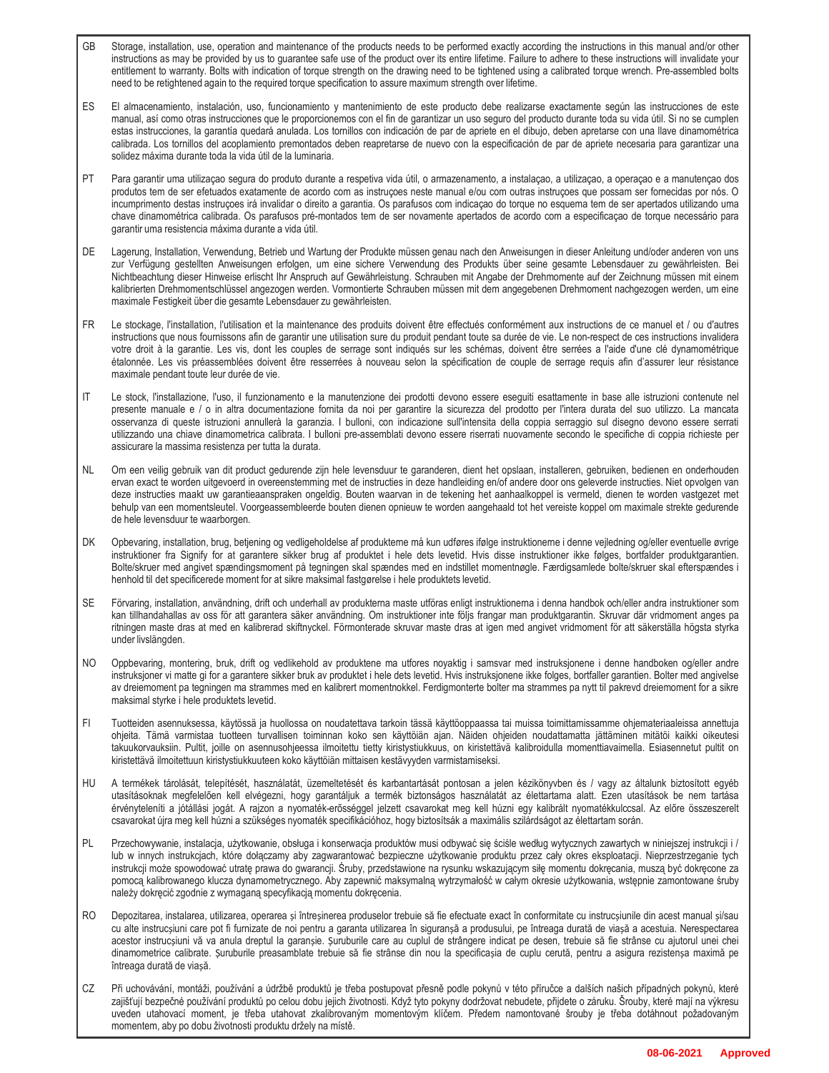- GB Storage, installation, use, operation and maintenance of the products needs to be performed exactly according the instructions in this manual and/or other instructions as may be provided by us to guarantee safe use of the product over its entire lifetime. Failure to adhere to these instructions will invalidate your entitlement to warranty. Bolts with indication of torque strength on the drawing need to be tightened using a calibrated torque wrench. Pre-assembled bolts need to be retightened again to the required torque specification to assure maximum strength over lifetime.
- ES El almacenamiento, instalación, uso, funcionamiento y mantenimiento de este producto debe realizarse exactamente según las instrucciones de este manual, así como otras instrucciones que le proporcionemos con el fin de garantizar un uso seguro del producto durante toda su vida útil. Si no se cumplen estas instrucciones, la garantía quedará anulada. Los tornillos con indicación de par de apriete en el dibujo, deben apretarse con una llave dinamométrica calibrada. Los tornillos del acoplamiento premontados deben reapretarse de nuevo con la especificación de par de apriete necesaria para garantizar una solidez máxima durante toda la vida útil de la luminaria.
- PT Para garantir uma utilizaçao segura do produto durante a respetiva vida útil, o armazenamento, a instalaçao, a utilizaçao, a operaçao e a manutençao dos produtos tem de ser efetuados exatamente de acordo com as instruçoes neste manual e/ou com outras instruçoes que possam ser fornecidas por nós. O incumprimento destas instruçoes irá invalidar o direito a garantia. Os parafusos com indicaçao do torque no esquema tem de ser apertados utilizando uma chave dinamométrica calibrada. Os parafusos pré-montados tem de ser novamente apertados de acordo com a especificaçao de torque necessário para garantir uma resistencia máxima durante a vida útil.
- DE Lagerung, Installation, Verwendung, Betrieb und Wartung der Produkte müssen genau nach den Anweisungen in dieser Anleitung und/oder anderen von uns zur Verfügung gestellten Anweisungen erfolgen, um eine sichere Verwendung des Produkts über seine gesamte Lebensdauer zu gewährleisten. Bei Nichtbeachtung dieser Hinweise erlischt Ihr Anspruch auf Gewährleistung. Schrauben mit Angabe der Drehmomente auf der Zeichnung müssen mit einem kalibrierten Drehmomentschlüssel angezogen werden. Vormontierte Schrauben müssen mit dem angegebenen Drehmoment nachgezogen werden, um eine maximale Festigkeit über die gesamte Lebensdauer zu gewährleisten.
- FR Le stockage, l'installation, l'utilisation et la maintenance des produits doivent être effectués conformément aux instructions de ce manuel et / ou d'autres instructions que nous fournissons afin de garantir une utilisation sure du produit pendant toute sa durée de vie. Le non-respect de ces instructions invalidera votre droit à la garantie. Les vis, dont les couples de serrage sont indiqués sur les schémas, doivent être serrées a l'aide d'une clé dynamométrique étalonnée. Les vis préassemblées doivent être resserrées à nouveau selon la spécification de couple de serrage requis afin d'assurer leur résistance maximale pendant toute leur durée de vie.
- IT Le stock, l'installazione, l'uso, il funzionamento e la manutenzione dei prodotti devono essere eseguiti esattamente in base alle istruzioni contenute nel presente manuale e / o in altra documentazione fornita da noi per garantire la sicurezza del prodotto per l'intera durata del suo utilizzo. La mancata osservanza di queste istruzioni annullerà la garanzia. I bulloni, con indicazione sull'intensita della coppia serraggio sul disegno devono essere serrati utilizzando una chiave dinamometrica calibrata. I bulloni pre-assemblati devono essere riserrati nuovamente secondo le specifiche di coppia richieste per assicurare la massima resistenza per tutta la durata.
- NL Om een veilig gebruik van dit product gedurende zijn hele levensduur te garanderen, dient het opslaan, installeren, gebruiken, bedienen en onderhouden ervan exact te worden uitgevoerd in overeenstemming met de instructies in deze handleiding en/of andere door ons geleverde instructies. Niet opvolgen van deze instructies maakt uw garantieaanspraken ongeldig. Bouten waarvan in de tekening het aanhaalkoppel is vermeld, dienen te worden vastgezet met behulp van een momentsleutel. Voorgeassembleerde bouten dienen opnieuw te worden aangehaald tot het vereiste koppel om maximale strekte gedurende de hele levensduur te waarborgen.
- DK Opbevaring, installation, brug, betjening og vedligeholdelse af produkterne må kun udføres ifølge instruktionerne i denne vejledning og/eller eventuelle øvrige instruktioner fra Signify for at garantere sikker brug af produktet i hele dets levetid. Hvis disse instruktioner ikke følges, bortfalder produktgarantien. Bolte/skruer med angivet spændingsmoment på tegningen skal spændes med en indstillet momentnøgle. Færdigsamlede bolte/skruer skal efterspændes i henhold til det specificerede moment for at sikre maksimal fastgørelse i hele produktets levetid.
- SE Förvaring, installation, användning, drift och underhall av produkterna maste utföras enligt instruktionerna i denna handbok och/eller andra instruktioner som kan tillhandahallas av oss för att garantera säker användning. Om instruktioner inte följs frangar man produktgarantin. Skruvar där vridmoment anges pa ritningen maste dras at med en kalibrerad skiftnyckel. Förmonterade skruvar maste dras at igen med angivet vridmoment för att säkerställa högsta styrka under livslängden.
- NO Oppbevaring, montering, bruk, drift og vedlikehold av produktene ma utfores noyaktig i samsvar med instruksjonene i denne handboken og/eller andre instruksjoner vi matte gi for a garantere sikker bruk av produktet i hele dets levetid. Hvis instruksjonene ikke folges, bortfaller garantien. Bolter med angivelse av dreiemoment pa tegningen ma strammes med en kalibrert momentnokkel. Ferdigmonterte bolter ma strammes pa nytt til pakrevd dreiemoment for a sikre maksimal styrke i hele produktets levetid.
- FI Tuotteiden asennuksessa, käytössä ja huollossa on noudatettava tarkoin tässä käyttöoppaassa tai muissa toimittamissamme ohjemateriaaleissa annettuja ohjeita. Tämä varmistaa tuotteen turvallisen toiminnan koko sen käyttöiän ajan. Näiden ohjeiden noudattamatta jättäminen mitätöi kaikki oikeutesi takuukorvauksiin. Pultit, joille on asennusohjeessa ilmoitettu tietty kiristystiukkuus, on kiristettävä kalibroidulla momenttiavaimella. Esiasennetut pultit on kiristettävä ilmoitettuun kiristystiukkuuteen koko käyttöiän mittaisen kestävyyden varmistamiseksi.
- HU A termékek tárolását, telepítését, használatát, üzemeltetését és karbantartását pontosan a jelen kézikönyvben és / vagy az általunk biztosított egyéb utasításoknak megfelelően kell elvégezni, hogy garantáljuk a termék biztonságos használatát az élettartama alatt. Ezen utasítások be nem tartása érvényteleníti a jótállási jogát. A rajzon a nyomaték-erősséggel jelzett csavarokat meg kell húzni egy kalibrált nyomatékkulccsal. Az előre összeszerelt csavarokat újra meg kell húzni a szükséges nyomaték specifikációhoz, hogy biztosítsák a maximális szilárdságot az élettartam során.
- PL Przechowywanie, instalacja, użytkowanie, obsługa i konserwacja produktów musi odbywać się ściśle według wytycznych zawartych w niniejszej instrukcji i / lub w innych instrukcjach, które dołączamy aby zagwarantować bezpieczne użytkowanie produktu przez cały okres eksploatacji. Nieprzestrzeganie tych instrukcji może spowodować utratę prawa do gwarancji. Śruby, przedstawione na rysunku wskazującym siłę momentu dokręcania, muszą być dokręcone za pomocą kalibrowanego klucza dynamometrycznego. Aby zapewnić maksymalną wytrzymałość w całym okresie użytkowania, wstępnie zamontowane śruby należy dokręcić zgodnie z wymaganą specyfikacją momentu dokręcenia.
- RO Depozitarea, instalarea, utilizarea, operarea și întreșinerea produselor trebuie să fie efectuate exact în conformitate cu instrucșiunile din acest manual și/sau cu alte instrucșiuni care pot fi furnizate de noi pentru a garanta utilizarea în siguranșă a produsului, pe întreaga durată de viașă a acestuia. Nerespectarea acestor instrucșiuni vă va anula dreptul la garanșie. Șuruburile care au cuplul de strângere indicat pe desen, trebuie să fie strânse cu ajutorul unei chei dinamometrice calibrate. Șuruburile preasamblate trebuie să fie strânse din nou la specificașia de cuplu cerută, pentru a asigura rezistenșa maximă pe întreaga durată de viașă.
- CZ Při uchovávání, montáži, používání a údržbě produktů je třeba postupovat přesně podle pokynů v této příručce a dalších našich případných pokynů, které zajišťují bezpečné používání produktů po celou dobu jejich životnosti. Když tyto pokyny dodržovat nebudete, přijdete o záruku. Šrouby, které mají na výkresu uveden utahovací moment, je třeba utahovat zkalibrovaným momentovým klíčem. Předem namontované šrouby je třeba dotáhnout požadovaným momentem, aby po dobu životnosti produktu držely na místě.